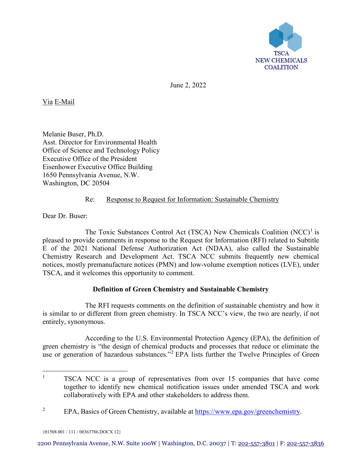

June 2, 2022

Via E-Mail

Melanie Buser, Ph.D. Asst. Director for Environmental Health Office of Science and Technology Policy Executive Office of the President Eisenhower Executive Office Building 1650 Pennsylvania Avenue, N.W. Washington, DC 20504

## Re: Response to Request for Information: Sustainable Chemistry

Dear Dr. Buser:

The Toxic Substances Control Act (TSCA) New Chemicals Coalition  $(NCC)^1$  $(NCC)^1$  is pleased to provide comments in response to the Request for Information (RFI) related to Subtitle E of the 2021 National Defense Authorization Act (NDAA), also called the Sustainable Chemistry Research and Development Act. TSCA NCC submits frequently new chemical notices, mostly premanufacture notices (PMN) and low-volume exemption notices (LVE), under TSCA, and it welcomes this opportunity to comment.

# **Definition of Green Chemistry and Sustainable Chemistry**

The RFI requests comments on the definition of sustainable chemistry and how it is similar to or different from green chemistry. In TSCA NCC's view, the two are nearly, if not entirely, synonymous.

According to the U.S. Environmental Protection Agency (EPA), the definition of green chemistry is "the design of chemical products and processes that reduce or eliminate the use or generation of hazardous substances."<sup>[2](#page-0-1)</sup> EPA lists further the Twelve Principles of Green

<span id="page-0-0"></span><sup>&</sup>lt;sup>1</sup> TSCA NCC is a group of representatives from over 15 companies that have come together to identify new chemical notification issues under amended TSCA and work collaboratively with EPA and other stakeholders to address them.

<span id="page-0-1"></span><sup>&</sup>lt;sup>2</sup> EPA, Basics of Green Chemistry, available at [https://www.epa.gov/greenchemistry.](https://www.epa.gov/greenchemistry)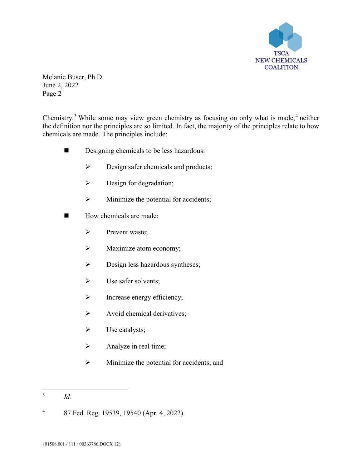

Chemistry.<sup>[3](#page-1-0)</sup> While some may view green chemistry as focusing on only what is made,<sup>[4](#page-1-1)</sup> neither the definition nor the principles are so limited. In fact, the majority of the principles relate to how chemicals are made. The principles include:

- Designing chemicals to be less hazardous:
	- $\triangleright$  Design safer chemicals and products;
	- $\triangleright$  Design for degradation;
	- $\triangleright$  Minimize the potential for accidents;
- $\blacksquare$  How chemicals are made:
	- $\triangleright$  Prevent waste;
	- $\triangleright$  Maximize atom economy;
	- $\triangleright$  Design less hazardous syntheses;
	- $\triangleright$  Use safer solvents;
	- $\triangleright$  Increase energy efficiency;
	- Avoid chemical derivatives;
	- $\triangleright$  Use catalysts;
	- $\triangleright$  Analyze in real time;
	- $\triangleright$  Minimize the potential for accidents; and

<span id="page-1-0"></span> <sup>3</sup> *Id.*

<span id="page-1-1"></span><sup>4</sup> 87 Fed. Reg. 19539, 19540 (Apr. 4, 2022).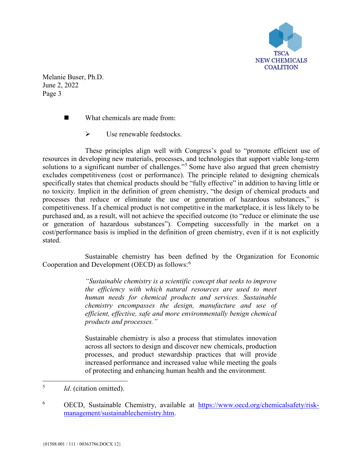

What chemicals are made from:

 $\triangleright$  Use renewable feedstocks.

These principles align well with Congress's goal to "promote efficient use of resources in developing new materials, processes, and technologies that support viable long-term solutions to a significant number of challenges."<sup>[5](#page-2-0)</sup> Some have also argued that green chemistry excludes competitiveness (cost or performance). The principle related to designing chemicals specifically states that chemical products should be "fully effective" in addition to having little or no toxicity. Implicit in the definition of green chemistry, "the design of chemical products and processes that reduce or eliminate the use or generation of hazardous substances," is competitiveness. If a chemical product is not competitive in the marketplace, it is less likely to be purchased and, as a result, will not achieve the specified outcome (to "reduce or eliminate the use or generation of hazardous substances"). Competing successfully in the market on a cost/performance basis is implied in the definition of green chemistry, even if it is not explicitly stated.

Sustainable chemistry has been defined by the Organization for Economic Cooperation and Development (OECD) as follows:[6](#page-2-1)

> *"Sustainable chemistry is a scientific concept that seeks to improve the efficiency with which natural resources are used to meet human needs for chemical products and services. Sustainable chemistry encompasses the design, manufacture and use of efficient, effective, safe and more environmentally benign chemical products and processes."*

> Sustainable chemistry is also a process that stimulates innovation across all sectors to design and discover new chemicals, production processes, and product stewardship practices that will provide increased performance and increased value while meeting the goals of protecting and enhancing human health and the environment.

<span id="page-2-0"></span>5 *Id*. (citation omitted).

<span id="page-2-1"></span><sup>6</sup> OECD, Sustainable Chemistry, available at [https://www.oecd.org/chemicalsafety/risk](https://www.oecd.org/chemicalsafety/risk-management/sustainablechemistry.htm)[management/sustainablechemistry.htm.](https://www.oecd.org/chemicalsafety/risk-management/sustainablechemistry.htm)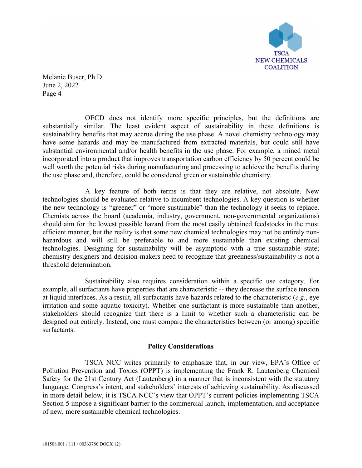

OECD does not identify more specific principles, but the definitions are substantially similar. The least evident aspect of sustainability in these definitions is sustainability benefits that may accrue during the use phase. A novel chemistry technology may have some hazards and may be manufactured from extracted materials, but could still have substantial environmental and/or health benefits in the use phase. For example, a mined metal incorporated into a product that improves transportation carbon efficiency by 50 percent could be well worth the potential risks during manufacturing and processing to achieve the benefits during the use phase and, therefore, could be considered green or sustainable chemistry.

A key feature of both terms is that they are relative, not absolute. New technologies should be evaluated relative to incumbent technologies. A key question is whether the new technology is "greener" or "more sustainable" than the technology it seeks to replace. Chemists across the board (academia, industry, government, non-governmental organizations) should aim for the lowest possible hazard from the most easily obtained feedstocks in the most efficient manner, but the reality is that some new chemical technologies may not be entirely nonhazardous and will still be preferable to and more sustainable than existing chemical technologies. Designing for sustainability will be asymptotic with a true sustainable state; chemistry designers and decision-makers need to recognize that greenness/sustainability is not a threshold determination.

Sustainability also requires consideration within a specific use category. For example, all surfactants have properties that are characteristic -- they decrease the surface tension at liquid interfaces. As a result, all surfactants have hazards related to the characteristic (*e.g*., eye irritation and some aquatic toxicity). Whether one surfactant is more sustainable than another, stakeholders should recognize that there is a limit to whether such a characteristic can be designed out entirely. Instead, one must compare the characteristics between (or among) specific surfactants.

### **Policy Considerations**

TSCA NCC writes primarily to emphasize that, in our view, EPA's Office of Pollution Prevention and Toxics (OPPT) is implementing the Frank R. Lautenberg Chemical Safety for the 21st Century Act (Lautenberg) in a manner that is inconsistent with the statutory language, Congress's intent, and stakeholders' interests of achieving sustainability. As discussed in more detail below, it is TSCA NCC's view that OPPT's current policies implementing TSCA Section 5 impose a significant barrier to the commercial launch, implementation, and acceptance of new, more sustainable chemical technologies.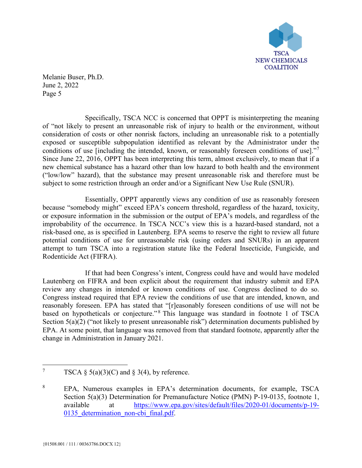

Specifically, TSCA NCC is concerned that OPPT is misinterpreting the meaning of "not likely to present an unreasonable risk of injury to health or the environment, without consideration of costs or other nonrisk factors, including an unreasonable risk to a potentially exposed or susceptible subpopulation identified as relevant by the Administrator under the conditions of use [including the intended, known, or reasonably foreseen conditions of use]." Since June 22, 2016, OPPT has been interpreting this term, almost exclusively, to mean that if a new chemical substance has a hazard other than low hazard to both health and the environment ("low/low" hazard), that the substance may present unreasonable risk and therefore must be subject to some restriction through an order and/or a Significant New Use Rule (SNUR).

Essentially, OPPT apparently views any condition of use as reasonably foreseen because "somebody might" exceed EPA's concern threshold, regardless of the hazard, toxicity, or exposure information in the submission or the output of EPA's models, and regardless of the improbability of the occurrence. In TSCA NCC's view this is a hazard-based standard, not a risk-based one, as is specified in Lautenberg. EPA seems to reserve the right to review all future potential conditions of use for unreasonable risk (using orders and SNURs) in an apparent attempt to turn TSCA into a registration statute like the Federal Insecticide, Fungicide, and Rodenticide Act (FIFRA).

If that had been Congress's intent, Congress could have and would have modeled Lautenberg on FIFRA and been explicit about the requirement that industry submit and EPA review any changes in intended or known conditions of use. Congress declined to do so. Congress instead required that EPA review the conditions of use that are intended, known, and reasonably foreseen. EPA has stated that "[r]easonably foreseen conditions of use will not be based on hypotheticals or conjecture."<sup>[8](#page-4-1)</sup> This language was standard in footnote 1 of TSCA Section 5(a)(2) ("not likely to present unreasonable risk") determination documents published by EPA. At some point, that language was removed from that standard footnote, apparently after the change in Administration in January 2021.

<span id="page-4-0"></span><sup>&</sup>lt;sup>7</sup> TSCA § 5(a)(3)(C) and § 3(4), by reference.

<span id="page-4-1"></span><sup>8</sup> EPA, Numerous examples in EPA's determination documents, for example, TSCA Section 5(a)(3) Determination for Premanufacture Notice (PMN) P-19-0135, footnote 1, available at [https://www.epa.gov/sites/default/files/2020-01/documents/p-19-](https://www.epa.gov/sites/default/files/2020-01/documents/p-19-0135_determination_non-cbi_final.pdf) 0135 determination non-cbi final.pdf.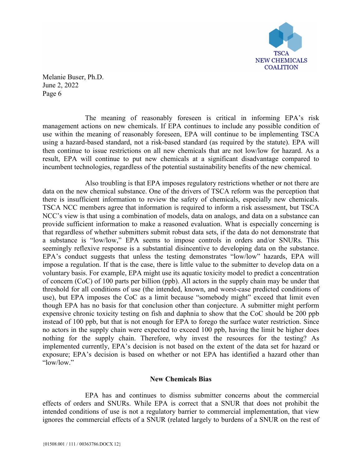

The meaning of reasonably foreseen is critical in informing EPA's risk management actions on new chemicals. If EPA continues to include any possible condition of use within the meaning of reasonably foreseen, EPA will continue to be implementing TSCA using a hazard-based standard, not a risk-based standard (as required by the statute). EPA will then continue to issue restrictions on all new chemicals that are not low/low for hazard. As a result, EPA will continue to put new chemicals at a significant disadvantage compared to incumbent technologies, regardless of the potential sustainability benefits of the new chemical.

Also troubling is that EPA imposes regulatory restrictions whether or not there are data on the new chemical substance. One of the drivers of TSCA reform was the perception that there is insufficient information to review the safety of chemicals, especially new chemicals. TSCA NCC members agree that information is required to inform a risk assessment, but TSCA NCC's view is that using a combination of models, data on analogs, and data on a substance can provide sufficient information to make a reasoned evaluation. What is especially concerning is that regardless of whether submitters submit robust data sets, if the data do not demonstrate that a substance is "low/low," EPA seems to impose controls in orders and/or SNURs. This seemingly reflexive response is a substantial disincentive to developing data on the substance. EPA's conduct suggests that unless the testing demonstrates "low/low" hazards, EPA will impose a regulation. If that is the case, there is little value to the submitter to develop data on a voluntary basis. For example, EPA might use its aquatic toxicity model to predict a concentration of concern (CoC) of 100 parts per billion (ppb). All actors in the supply chain may be under that threshold for all conditions of use (the intended, known, and worst-case predicted conditions of use), but EPA imposes the CoC as a limit because "somebody might" exceed that limit even though EPA has no basis for that conclusion other than conjecture. A submitter might perform expensive chronic toxicity testing on fish and daphnia to show that the CoC should be 200 ppb instead of 100 ppb, but that is not enough for EPA to forego the surface water restriction. Since no actors in the supply chain were expected to exceed 100 ppb, having the limit be higher does nothing for the supply chain. Therefore, why invest the resources for the testing? As implemented currently, EPA's decision is not based on the extent of the data set for hazard or exposure; EPA's decision is based on whether or not EPA has identified a hazard other than "low/low."

### **New Chemicals Bias**

EPA has and continues to dismiss submitter concerns about the commercial effects of orders and SNURs. While EPA is correct that a SNUR that does not prohibit the intended conditions of use is not a regulatory barrier to commercial implementation, that view ignores the commercial effects of a SNUR (related largely to burdens of a SNUR on the rest of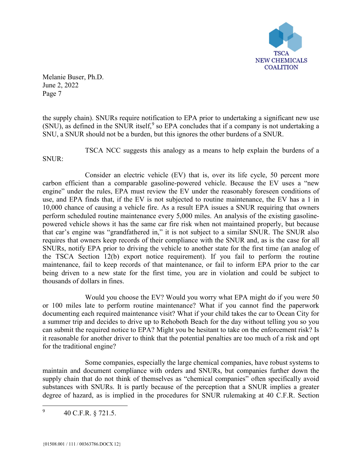

the supply chain). SNURs require notification to EPA prior to undertaking a significant new use (SNU), as defined in the SNUR itself,  $9$  so EPA concludes that if a company is not undertaking a SNU, a SNUR should not be a burden, but this ignores the other burdens of a SNUR.

TSCA NCC suggests this analogy as a means to help explain the burdens of a SNUR:

Consider an electric vehicle (EV) that is, over its life cycle, 50 percent more carbon efficient than a comparable gasoline-powered vehicle. Because the EV uses a "new engine" under the rules, EPA must review the EV under the reasonably foreseen conditions of use, and EPA finds that, if the EV is not subjected to routine maintenance, the EV has a 1 in 10,000 chance of causing a vehicle fire. As a result EPA issues a SNUR requiring that owners perform scheduled routine maintenance every 5,000 miles. An analysis of the existing gasolinepowered vehicle shows it has the same car fire risk when not maintained properly, but because that car's engine was "grandfathered in," it is not subject to a similar SNUR. The SNUR also requires that owners keep records of their compliance with the SNUR and, as is the case for all SNURs, notify EPA prior to driving the vehicle to another state for the first time (an analog of the TSCA Section 12(b) export notice requirement). If you fail to perform the routine maintenance, fail to keep records of that maintenance, or fail to inform EPA prior to the car being driven to a new state for the first time, you are in violation and could be subject to thousands of dollars in fines.

Would you choose the EV? Would you worry what EPA might do if you were 50 or 100 miles late to perform routine maintenance? What if you cannot find the paperwork documenting each required maintenance visit? What if your child takes the car to Ocean City for a summer trip and decides to drive up to Rehoboth Beach for the day without telling you so you can submit the required notice to EPA? Might you be hesitant to take on the enforcement risk? Is it reasonable for another driver to think that the potential penalties are too much of a risk and opt for the traditional engine?

Some companies, especially the large chemical companies, have robust systems to maintain and document compliance with orders and SNURs, but companies further down the supply chain that do not think of themselves as "chemical companies" often specifically avoid substances with SNURs. It is partly because of the perception that a SNUR implies a greater degree of hazard, as is implied in the procedures for SNUR rulemaking at 40 C.F.R. Section

<span id="page-6-0"></span><sup>&</sup>lt;sup>9</sup> 40 C.F.R. § 721.5.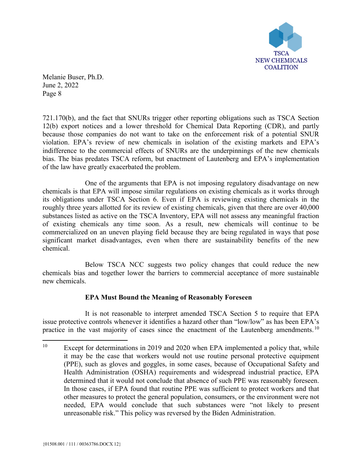

721.170(b), and the fact that SNURs trigger other reporting obligations such as TSCA Section 12(b) export notices and a lower threshold for Chemical Data Reporting (CDR), and partly because those companies do not want to take on the enforcement risk of a potential SNUR violation. EPA's review of new chemicals in isolation of the existing markets and EPA's indifference to the commercial effects of SNURs are the underpinnings of the new chemicals bias. The bias predates TSCA reform, but enactment of Lautenberg and EPA's implementation of the law have greatly exacerbated the problem.

One of the arguments that EPA is not imposing regulatory disadvantage on new chemicals is that EPA will impose similar regulations on existing chemicals as it works through its obligations under TSCA Section 6. Even if EPA is reviewing existing chemicals in the roughly three years allotted for its review of existing chemicals, given that there are over 40,000 substances listed as active on the TSCA Inventory, EPA will not assess any meaningful fraction of existing chemicals any time soon. As a result, new chemicals will continue to be commercialized on an uneven playing field because they are being regulated in ways that pose significant market disadvantages, even when there are sustainability benefits of the new chemical.

Below TSCA NCC suggests two policy changes that could reduce the new chemicals bias and together lower the barriers to commercial acceptance of more sustainable new chemicals.

# **EPA Must Bound the Meaning of Reasonably Foreseen**

It is not reasonable to interpret amended TSCA Section 5 to require that EPA issue protective controls whenever it identifies a hazard other than "low/low" as has been EPA's practice in the vast majority of cases since the enactment of the Lautenberg amendments.<sup>[10](#page-7-0)</sup>

<span id="page-7-0"></span><sup>&</sup>lt;sup>10</sup> Except for determinations in 2019 and 2020 when EPA implemented a policy that, while it may be the case that workers would not use routine personal protective equipment (PPE), such as gloves and goggles, in some cases, because of Occupational Safety and Health Administration (OSHA) requirements and widespread industrial practice, EPA determined that it would not conclude that absence of such PPE was reasonably foreseen. In those cases, if EPA found that routine PPE was sufficient to protect workers and that other measures to protect the general population, consumers, or the environment were not needed, EPA would conclude that such substances were "not likely to present unreasonable risk." This policy was reversed by the Biden Administration.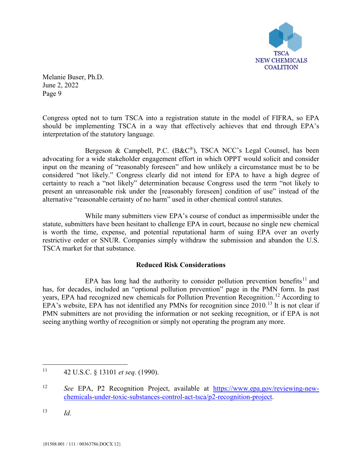

Congress opted not to turn TSCA into a registration statute in the model of FIFRA, so EPA should be implementing TSCA in a way that effectively achieves that end through EPA's interpretation of the statutory language.

Bergeson & Campbell, P.C. (B&C®), TSCA NCC's Legal Counsel, has been advocating for a wide stakeholder engagement effort in which OPPT would solicit and consider input on the meaning of "reasonably foreseen" and how unlikely a circumstance must be to be considered "not likely." Congress clearly did not intend for EPA to have a high degree of certainty to reach a "not likely" determination because Congress used the term "not likely to present an unreasonable risk under the [reasonably foreseen] condition of use" instead of the alternative "reasonable certainty of no harm" used in other chemical control statutes.

While many submitters view EPA's course of conduct as impermissible under the statute, submitters have been hesitant to challenge EPA in court, because no single new chemical is worth the time, expense, and potential reputational harm of suing EPA over an overly restrictive order or SNUR. Companies simply withdraw the submission and abandon the U.S. TSCA market for that substance.

### **Reduced Risk Considerations**

EPA has long had the authority to consider pollution prevention benefits<sup>[11](#page-8-0)</sup> and has, for decades, included an "optional pollution prevention" page in the PMN form. In past years, EPA had recognized new chemicals for Pollution Prevention Recognition.[12](#page-8-1) According to EPA's website, EPA has not identified any PMNs for recognition since 2010.[13](#page-8-2) It is not clear if PMN submitters are not providing the information or not seeking recognition, or if EPA is not seeing anything worthy of recognition or simply not operating the program any more.

<span id="page-8-2"></span><sup>13</sup> *Id.*

<span id="page-8-0"></span> <sup>11</sup> 42 U.S.C. § 13101 *et seq.* (1990).

<span id="page-8-1"></span><sup>12</sup> *See* EPA, P2 Recognition Project, available at [https://www.epa.gov/reviewing-new](https://www.epa.gov/reviewing-new-chemicals-under-toxic-substances-control-act-tsca/p2-recognition-project)[chemicals-under-toxic-substances-control-act-tsca/p2-recognition-project.](https://www.epa.gov/reviewing-new-chemicals-under-toxic-substances-control-act-tsca/p2-recognition-project)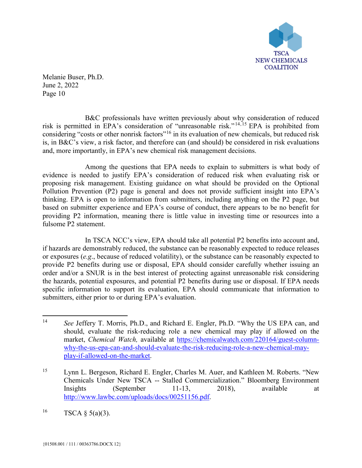

B&C professionals have written previously about why consideration of reduced risk is permitted in EPA's consideration of "unreasonable risk." [14](#page-9-0),[15](#page-9-1) EPA is prohibited from considering "costs or other nonrisk factors"[16](#page-9-2) in its evaluation of new chemicals, but reduced risk is, in B&C's view, a risk factor, and therefore can (and should) be considered in risk evaluations and, more importantly, in EPA's new chemical risk management decisions.

Among the questions that EPA needs to explain to submitters is what body of evidence is needed to justify EPA's consideration of reduced risk when evaluating risk or proposing risk management. Existing guidance on what should be provided on the Optional Pollution Prevention (P2) page is general and does not provide sufficient insight into EPA's thinking. EPA is open to information from submitters, including anything on the P2 page, but based on submitter experience and EPA's course of conduct, there appears to be no benefit for providing P2 information, meaning there is little value in investing time or resources into a fulsome P2 statement.

In TSCA NCC's view, EPA should take all potential P2 benefits into account and, if hazards are demonstrably reduced, the substance can be reasonably expected to reduce releases or exposures (*e.g*., because of reduced volatility), or the substance can be reasonably expected to provide P2 benefits during use or disposal, EPA should consider carefully whether issuing an order and/or a SNUR is in the best interest of protecting against unreasonable risk considering the hazards, potential exposures, and potential P2 benefits during use or disposal. If EPA needs specific information to support its evaluation, EPA should communicate that information to submitters, either prior to or during EPA's evaluation.

<span id="page-9-0"></span> <sup>14</sup> *See* Jeffery T. Morris, Ph.D., and Richard E. Engler, Ph.D. "Why the US EPA can, and should, evaluate the risk-reducing role a new chemical may play if allowed on the market, *Chemical Watch,* available at [https://chemicalwatch.com/220164/guest-column](https://chemicalwatch.com/220164/guest-column-why-the-us-epa-can-and-should-evaluate-the-risk-reducing-role-a-new-chemical-may-play-if-allowed-on-the-market)[why-the-us-epa-can-and-should-evaluate-the-risk-reducing-role-a-new-chemical-may](https://chemicalwatch.com/220164/guest-column-why-the-us-epa-can-and-should-evaluate-the-risk-reducing-role-a-new-chemical-may-play-if-allowed-on-the-market)[play-if-allowed-on-the-market.](https://chemicalwatch.com/220164/guest-column-why-the-us-epa-can-and-should-evaluate-the-risk-reducing-role-a-new-chemical-may-play-if-allowed-on-the-market)

<span id="page-9-1"></span><sup>15</sup> Lynn L. Bergeson, Richard E. Engler, Charles M. Auer, and Kathleen M. Roberts. "New Chemicals Under New TSCA -- Stalled Commercialization." Bloomberg Environment Insights (September 11-13, 2018), available at [http://www.lawbc.com/uploads/docs/00251156.pdf.](http://www.lawbc.com/uploads/docs/00251156.pdf)

<span id="page-9-2"></span><sup>&</sup>lt;sup>16</sup> TSCA § 5(a)(3).